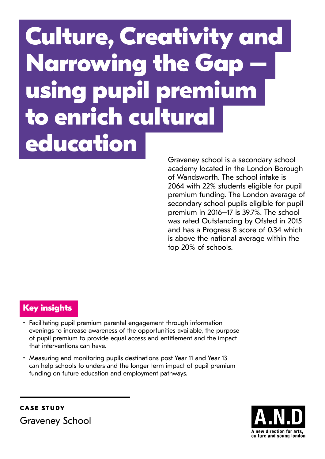# **Culture, Creativity and Narrowing the Gap – using pupil premium to enrich cultural education**

Graveney school is a secondary school academy located in the London Borough of Wandsworth. The school intake is 2064 with 22% students eligible for pupil premium funding. The London average of secondary school pupils eligible for pupil premium in 2016–17 is 39.7%. The school was rated Outstanding by Ofsted in 2015 and has a Progress 8 score of 0.34 which is above the national average within the top 20% of schools.

## **Key insights**

- Facilitating pupil premium parental engagement through information evenings to increase awareness of the opportunities available, the purpose of pupil premium to provide equal access and entitlement and the impact that interventions can have.
- Measuring and monitoring pupils destinations post Year 11 and Year 13 can help schools to understand the longer term impact of pupil premium funding on future education and employment pathways.



Graveney School

**CASE STUDY**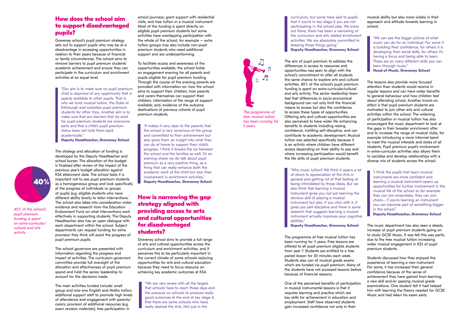#### **How does the school aim to support disadvantaged pupils?**

Graveney school's pupil premium strategy sets out to support pupils who may be at a disadvantage in accessing opportunities in relation to their peers because of financial or family circumstances. The school aims to remove barriers to pupil premium students' academic achievement and ensure they can participate in the curriculum and enrichment activities at an equal level.

"Our aim is to make sure no pupil premium child is deprived of any opportunity that is openly available to other pupils. That is why we fund musical tuition, the Duke of Edinburgh and subsidise pupil premium students for other trips. Another aim is to make sure that any barriers that do exist for pupil premium students are overcome early and that a child's pupil premium status does not hold them back academically."

**Deputy Headteacher, Graveney School**

The strategy and allocation of funding is developed by the Deputy Headteacher and school bursar. The allocation of the budget is finalised after review of the impact of the previous year's budget allocation against KS4 attainment data. The school feels it is important not to see pupil premium students as a homogeneous group and look specifically at the progress of individuals or groups of pupils (e.g. eligible students who have different ability levels) to tailor interventions. The school also takes into consideration wider evidence and research from the Education Endowment Fund on what interventions work effectively in supporting students. The Deputy Headteacher also has an open dialogue with each department within the school. Subject departments can request funding for extra provision they think will assist the progress of pupil premium pupils.

The school governors are presented with information regarding the progress and impact of activities. The curriculum governors' committee provide full oversight of the allocation and effectiveness of pupil premium spend and hold the senior leadership to account for the decisions made.

The main activities funded include: small group and one-one English and Maths tuition; additional support staff to promote high levels of attendance and engagement with parents/ carers; provision of additional resources (e.g. exam revision materials); free participation in

school journeys; grant support with residential visits; and free tuition in a musical instrument. Most of the funding is spent directly on eligible pupil premium students but some activities have overlapping participation with the whole of the school, for example – extra tuition groups may also include non-pupil premium students who need additional support and are underperforming.

To facilitate access and awareness of the opportunities available, the school holds an engagement evening for all parents and pupils eligible for pupil premium funding. Through the course of the evening parents are provided with information on: how the school aims to support their children; how parents and carers themselves can support their children; information of the range of support available; and, evidence of the outcome destinations of previous cohorts of pupil premium students.

"It makes it very clear to the parents that the school is very conscious of the group and committed to their achievement but also gives them an insight into what they can do at home to support their child's progress. I think it breaks the ice between the school and the families as well. It's an evening where we do talk about pupil premium as a very positive thing, as a thing that can really enhance both the academic work of the child but also their involvement in enrichment activities." **Deputy Headteacher, Graveney School**

### **How is narrowing the gap strategy aligned with providing access to arts and cultural opportunities for disadvantaged students?**

Graveney school aims to provide a full range of arts and cultural opportunities across the curriculum and enrichment activities, and it perceives this to be particularly important in the current climate of some schools reducing opportunities for arts and cultural education because they need to focus resource on achieving key academic outcomes at KS4.

"We are very aware with all the targets that schools have to reach these days and the pressure on schools to produce really good outcomes at the end of key stage 4, that there are some schools who have really slashed the Arts. Not just in the

curriculum, but some have said to pupils that if you're in key stage 4 you are not participating in the school play. We know out there, there has been a narrowing of the curriculum and arts related enrichment activities. We are absolutely committed to keeping those things going." **Deputy Headteacher, Graveney School**

The aim of pupil premium to address the differences in access to resources and opportunities was seen to align with the school's commitment to offer all students the same chance to explore arts and cultural activities. 40% of the school's pupil premium funding is spent on extra-curricular/cultural and arts activity. The senior leadership team feel that differences in socio-economical background can not only limit the financial means to access but also the confidence to access these types of opportunities. Offering arts and cultural opportunities are also perceived to have wider life enhancing benefits to students including raising confidence, instilling self-discipline, and can contribute to academic development. Musical tuition was selected specifically because it is an activity where children have different access depending on their ability to pay and where increasing participation would benefit the life skills of pupil premium students.

"Why music tuition? We think it opens a lot of doors to appreciation of the Arts in general and getting rid of that feeling of being intimidated by those ideas. But we also think that learning a musical instrument gives you not just learning the obvious skill of playing a musical instrument but also, if you stick with it, it gives you self-discipline and there is some research that suggests learning a musical instrument actually improves your cognitive abilities."

**Deputy Headteacher, Graveney School**

The programme of free musical tuition has been running for 3 years. Free lessons are offered to all pupil premium eligible students from year 7. Students are entitled to a free paired lesson for 30 minutes each week. Students also can sit musical grade exams which are funded via pupil premium. Many of the students have not accessed lessons before because of financial reasons.

One of the perceived benefits of participation in musical instrumental lessons is that it requires learning and practice which are key skills for achievement in education and employment. Staff have observed students gain increased confidence not only in their



musical ability but also more widely in their approach and attitude towards learning in school.

"We can see the bigger picture of what music can do for an individual. For some it is building their confidence, for others it is developing their social skills, for others it's having a focus and being able to learn. There are so many different skills you can learn through music."

**Head of Music, Graveney School**

The lessons also provide more focused attention than students would receive in regular lessons and can have wider benefits to general behaviour and how children feel about attending school. Another knock-on effect is that pupil premium students are motivated to join other arts and cultural activities within the school. The widening of participation in musical tuition has also encouraged the music department to look at the gaps in their broader enrichment offer and to increase the range of musical clubs, for example introducing a more informal band to meet the musical interests and styles of all students. Pupil premium pupil's involvement in extra-curricular activities also allows them to socialise and develop relationships with a diverse mix of students across the school.

"I think the pupils that learn musical instruments are more confident and learning a musical instrument opens up opportunities for further involvement in the musical life of the school so for example they can join ensembles, they can join choirs... if you're learning an instrument you can become part of something bigger in the school."

**Deputy Headteacher, Graveney School**

The music department has also seen a steady increase of pupil premium students going on to study GCSE Music. It was felt this was partly due to the free musical tuition increasing wider musical engagement in KS3 of pupil premium students.

Students discussed how they enjoyed the experience of learning a new instrument. For some, it has increased their general confidence because of the sense of achievement they have gained from learning a new skill and/or passing musical grade examinations. One student felt it had helped him with learning the theory needed for GCSE Music and had taken his exam early.

*40% of the school's pupil premium funding is spent on extra-curricular/ cultural and arts activity.*



*free musical tuition has been running for 3 years.*